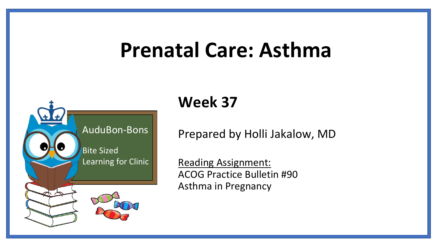# **Prenatal Care: Asthma**



## **Week 37**

Prepared by Holli Jakalow, MD

Reading Assignment: ACOG Practice Bulletin #90 Asthma in Pregnancy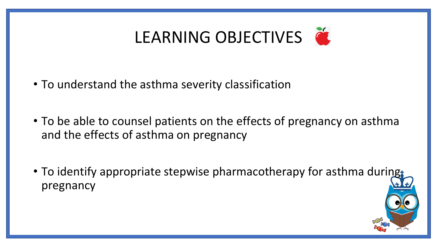

- To understand the asthma severity classification
- To be able to counsel patients on the effects of pregnancy on asthma and the effects of asthma on pregnancy
- To identify appropriate stepwise pharmacotherapy for asthma during pregnancy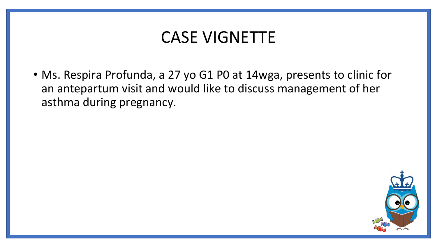### CASE VIGNETTE

• Ms. Respira Profunda, a 27 yo G1 P0 at 14wga, presents to clinic for an antepartum visit and would like to discuss management of her asthma during pregnancy.

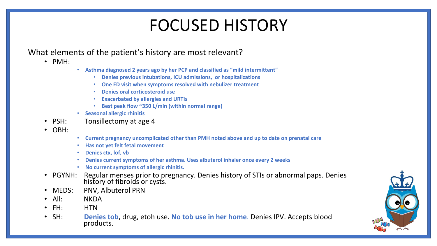### FOCUSED HISTORY

### What elements of the patient's history are most relevant?

- PMH:
- **Asthma diagnosed 2 years ago by her PCP and classified as "mild intermittent"** 
	- **Denies previous intubations, ICU admissions, or hospitalizations**
	- **One ED visit when symptoms resolved with nebulizer treatment**
	- **Denies oral corticosteroid use**
	- **Exacerbated by allergies and URTIs**
	- **Best peak flow ~350 L/min (within normal range)**
- **Seasonal allergic rhinitis**
- PSH: Tonsillectomy at age 4
- OBH:
- **Current pregnancy uncomplicated other than PMH noted above and up to date on prenatal care**
- **Has not yet felt fetal movement**
- **Denies ctx, lof, vb**
- **Denies current symptoms of her asthma. Uses albuterol inhaler once every 2 weeks**
- **No current symptoms of allergic rhinitis.**
- PGYNH: Regular menses prior to pregnancy. Denies history of STIs or abnormal paps. Denies history of fibroids or cysts.
- MEDS: PNV, Albuterol PRN
- All: NKDA
- FH: HTN
- SH: **Denies tob**, drug, etoh use. **No tob use in her home**. Denies IPV. Accepts blood products.

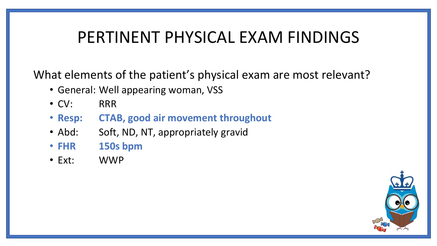### PERTINENT PHYSICAL EXAM FINDINGS

What elements of the patient's physical exam are most relevant?

- General: Well appearing woman, VSS
- CV: RRR
- **Resp: CTAB, good air movement throughout**
- Abd: Soft, ND, NT, appropriately gravid
- **FHR 150s bpm**
- Ext: WWP

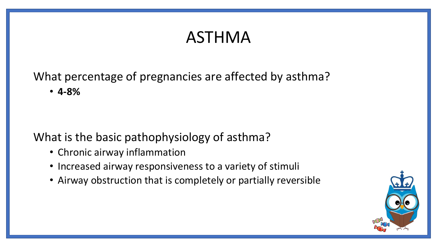## ASTHMA

What percentage of pregnancies are affected by asthma? • **4-8%**

### What is the basic pathophysiology of asthma?

- Chronic airway inflammation
- Increased airway responsiveness to a variety of stimuli
- Airway obstruction that is completely or partially reversible

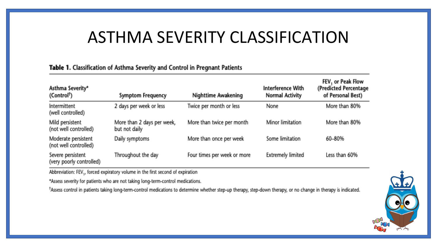### ASTHMA SEVERITY CLASSIFICATION

#### Table 1. Classification of Asthma Severity and Control in Pregnant Patients

| Asthma Severity*<br>(Control <sup>†</sup> )   | <b>Symptom Frequency</b>                    | Nighttime Awakening         | Interference With<br>Normal Activity | FEV, or Peak Flow<br>(Predicted Percentage<br>of Personal Best) |
|-----------------------------------------------|---------------------------------------------|-----------------------------|--------------------------------------|-----------------------------------------------------------------|
| <b>Intermittent</b><br>(well controlled)      | 2 days per week or less                     | Twice per month or less     | <b>None</b>                          | More than 80%                                                   |
| Mild persistent<br>(not well controlled)      | More than 2 days per week,<br>but not daily | More than twice per month   | Minor limitation                     | More than 80%                                                   |
| Moderate persistent<br>(not well controlled)  | Daily symptoms                              | More than once per week     | Some limitation                      | 60-80%                                                          |
| Severe persistent<br>(very poorly controlled) | Throughout the day                          | Four times per week or more | <b>Extremely limited</b>             | Less than 60%                                                   |

Abbreviation: FEV<sub>1</sub>, forced expiratory volume in the first second of expiration

\*Assess severity for patients who are not taking long-term-control medications.

\*Assess control in patients taking long-term-control medications to determine whether step-up therapy, step-down therapy, or no change in therapy is indicated.

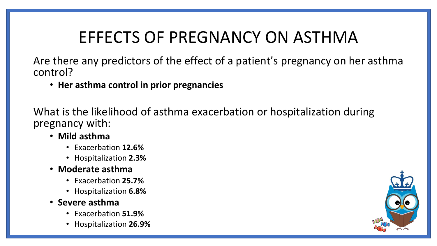## EFFECTS OF PREGNANCY ON ASTHMA

Are there any predictors of the effect of a patient's pregnancy on her asthma control?

• **Her asthma control in prior pregnancies** 

What is the likelihood of asthma exacerbation or hospitalization during pregnancy with:

- **Mild asthma**
	- Exacerbation **12.6%**
	- Hospitalization **2.3%**
- **Moderate asthma**
	- Exacerbation **25.7%**
	- Hospitalization **6.8%**
- **Severe asthma** 
	- Exacerbation **51.9%**
	- Hospitalization **26.9%**

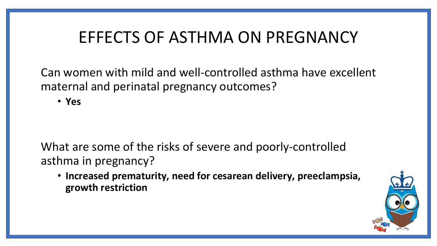### EFFECTS OF ASTHMA ON PREGNANCY

Can women with mild and well-controlled asthma have excellent maternal and perinatal pregnancy outcomes?

• **Yes**

What are some of the risks of severe and poorly-controlled asthma in pregnancy?

• **Increased prematurity, need for cesarean delivery, preeclampsia, growth restriction** 

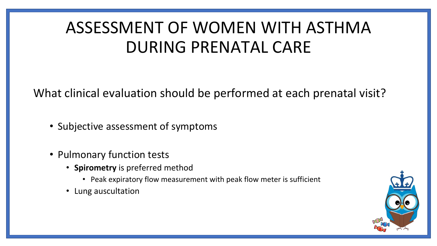## ASSESSMENT OF WOMEN WITH ASTHMA DURING PRENATAL CARE

What clinical evaluation should be performed at each prenatal visit?

- Subjective assessment of symptoms
- Pulmonary function tests
	- **Spirometry** is preferred method
		- Peak expiratory flow measurement with peak flow meter is sufficient
	- Lung auscultation

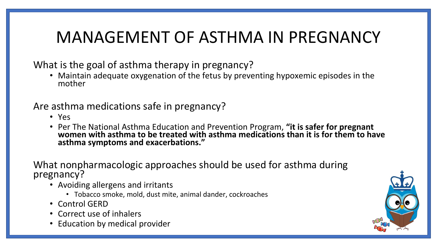## MANAGEMENT OF ASTHMA IN PREGNANCY

What is the goal of asthma therapy in pregnancy?

• Maintain adequate oxygenation of the fetus by preventing hypoxemic episodes in the mother

Are asthma medications safe in pregnancy?

- Yes
- Per The National Asthma Education and Prevention Program, **"it is safer for pregnant women with asthma to be treated with asthma medications than it is for them to have asthma symptoms and exacerbations."**

What nonpharmacologic approaches should be used for asthma during pregnancy?

- Avoiding allergens and irritants
	- Tobacco smoke, mold, dust mite, animal dander, cockroaches
- Control GERD
- Correct use of inhalers
- Education by medical provider

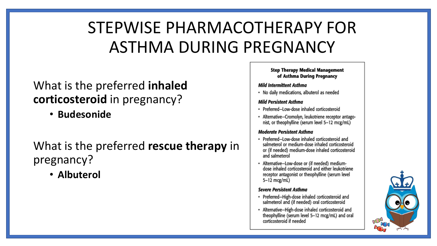## STEPWISE PHARMACOTHERAPY FOR ASTHMA DURING PREGNANCY

### What is the preferred **inhaled corticosteroid** in pregnancy?

• **Budesonide**

### What is the preferred **rescue therapy** in pregnancy?

• **Albuterol**

#### **Step Therapy Medical Management** of Asthma During Pregnancy

#### Mild Intermittent Asthma

• No daily medications, albuterol as needed

#### **Mild Persistent Asthma**

- · Preferred-Low-dose inhaled corticosteroid
- · Alternative-Cromolyn, leukotriene receptor antagonist, or theophylline (serum level 5-12 mcg/mL)

#### **Moderate Persistent Asthma**

- · Preferred-Low-dose inhaled corticosteroid and salmeterol or medium-dose inhaled corticosteroid or (if needed) medium-dose inhaled corticosteroid and salmeterol
- · Alternative-Low-dose or (if needed) mediumdose inhaled corticosteroid and either leukotriene receptor antagonist or theophylline (serum level 5-12 mcg/mL)

#### **Severe Persistent Asthma**

- · Preferred-High-dose inhaled corticosteroid and salmeterol and (if needed) oral corticosteroid
- · Alternative-High-dose inhaled corticosteroid and theophylline (serum level 5-12 mcg/mL) and oral corticosteroid if needed

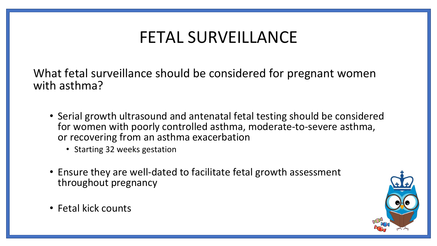## FETAL SURVEILLANCE

What fetal surveillance should be considered for pregnant women with asthma?

- Serial growth ultrasound and antenatal fetal testing should be considered for women with poorly controlled asthma, moderate-to-severe asthma, or recovering from an asthma exacerbation
	- Starting 32 weeks gestation
- Ensure they are well-dated to facilitate fetal growth assessment throughout pregnancy
- Fetal kick counts

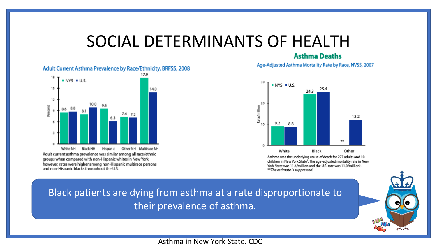### SOCIAL DETERMINANTS OF HEALTH

#### **Asthma Deaths** Age-Adjusted Asthma Mortality Rate by Race, NVSS, 2007

#### Adult Current Asthma Prevalence by Race/Ethnicity, BRFSS, 2008



#### $NYS = U.S.$ 25.4 24.3 20 Rate/millio 12.2  $9.2$ 8.8  $44 +$ White Black Other

Asthma was the underlying cause of death for 227 adults and 10 children in New York State<sup>5</sup>. The age-adjusted mortality rate in New York State was 11.4/million and the U.S. rate was 11.0/million<sup>5</sup>. \*\*The estimate is suppressed.

### Black patients are dying from asthma at a rate disproportionate to their prevalence of asthma.



Asthma in New York State. CDC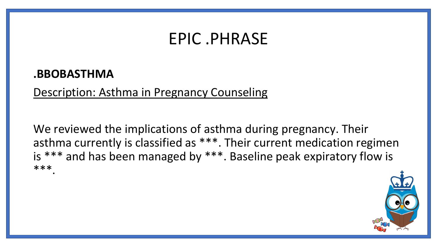### EPIC .PHRASE

### **.BBOBASTHMA**

Description: Asthma in Pregnancy Counseling

We reviewed the implications of asthma during pregnancy. Their asthma currently is classified as \*\*\*. Their current medication regimen is \*\*\* and has been managed by \*\*\*. Baseline peak expiratory flow is \*\*\*.

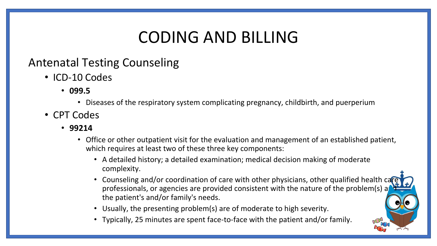## CODING AND BILLING

### Antenatal Testing Counseling

- ICD-10 Codes
	- **099.5** 
		- Diseases of the respiratory system complicating pregnancy, childbirth, and puerperium
- CPT Codes
	- **99214** 
		- Office or other outpatient visit for the evaluation and management of an established patient, which requires at least two of these three key components:
			- A detailed history; a detailed examination; medical decision making of moderate complexity.
			- Counseling and/or coordination of care with other physicians, other qualified health ca professionals, or agencies are provided consistent with the nature of the problem(s) a the patient's and/or family's needs.
			- Usually, the presenting problem(s) are of moderate to high severity.
			- Typically, 25 minutes are spent face-to-face with the patient and/or family.